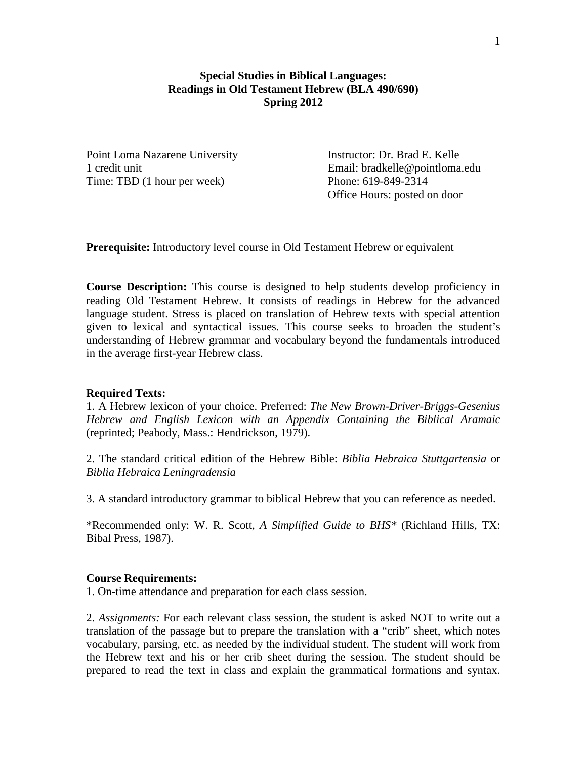## **Special Studies in Biblical Languages: Readings in Old Testament Hebrew (BLA 490/690) Spring 2012**

Point Loma Nazarene University Instructor: Dr. Brad E. Kelle Time: TBD (1 hour per week) Phone: 619-849-2314

1 credit unit Email: bradkelle@pointloma.edu Office Hours: posted on door

**Prerequisite:** Introductory level course in Old Testament Hebrew or equivalent

**Course Description:** This course is designed to help students develop proficiency in reading Old Testament Hebrew. It consists of readings in Hebrew for the advanced language student. Stress is placed on translation of Hebrew texts with special attention given to lexical and syntactical issues. This course seeks to broaden the student's understanding of Hebrew grammar and vocabulary beyond the fundamentals introduced in the average first-year Hebrew class.

## **Required Texts:**

1. A Hebrew lexicon of your choice. Preferred: *The New Brown-Driver-Briggs-Gesenius Hebrew and English Lexicon with an Appendix Containing the Biblical Aramaic*  (reprinted; Peabody, Mass.: Hendrickson, 1979).

2. The standard critical edition of the Hebrew Bible: *Biblia Hebraica Stuttgartensia* or *Biblia Hebraica Leningradensia*

3. A standard introductory grammar to biblical Hebrew that you can reference as needed.

\*Recommended only: W. R. Scott, *A Simplified Guide to BHS\** (Richland Hills, TX: Bibal Press, 1987).

## **Course Requirements:**

1. On-time attendance and preparation for each class session.

2. *Assignments:* For each relevant class session, the student is asked NOT to write out a translation of the passage but to prepare the translation with a "crib" sheet, which notes vocabulary, parsing, etc. as needed by the individual student. The student will work from the Hebrew text and his or her crib sheet during the session. The student should be prepared to read the text in class and explain the grammatical formations and syntax.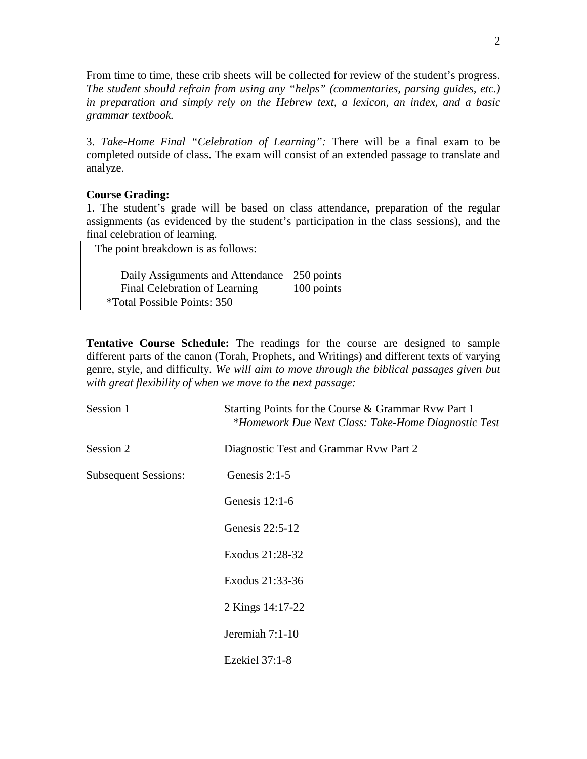From time to time, these crib sheets will be collected for review of the student's progress. *The student should refrain from using any "helps" (commentaries, parsing guides, etc.) in preparation and simply rely on the Hebrew text, a lexicon, an index, and a basic grammar textbook.*

3. *Take-Home Final "Celebration of Learning":* There will be a final exam to be completed outside of class. The exam will consist of an extended passage to translate and analyze.

## **Course Grading:**

1. The student's grade will be based on class attendance, preparation of the regular assignments (as evidenced by the student's participation in the class sessions), and the final celebration of learning.

 The point breakdown is as follows: Daily Assignments and Attendance 250 points Final Celebration of Learning 100 points \*Total Possible Points: 350

**Tentative Course Schedule:** The readings for the course are designed to sample different parts of the canon (Torah, Prophets, and Writings) and different texts of varying genre, style, and difficulty. *We will aim to move through the biblical passages given but with great flexibility of when we move to the next passage:*

| Session 1                   | Starting Points for the Course & Grammar Rvw Part 1<br>*Homework Due Next Class: Take-Home Diagnostic Test |
|-----------------------------|------------------------------------------------------------------------------------------------------------|
| Session 2                   | Diagnostic Test and Grammar Ryw Part 2                                                                     |
| <b>Subsequent Sessions:</b> | Genesis 2:1-5                                                                                              |
|                             | Genesis $12:1-6$                                                                                           |
|                             | Genesis 22:5-12                                                                                            |
|                             | Exodus 21:28-32                                                                                            |
|                             | Exodus 21:33-36                                                                                            |
|                             | 2 Kings 14:17-22                                                                                           |
|                             | Jeremiah 7:1-10                                                                                            |
|                             | Ezekiel 37:1-8                                                                                             |